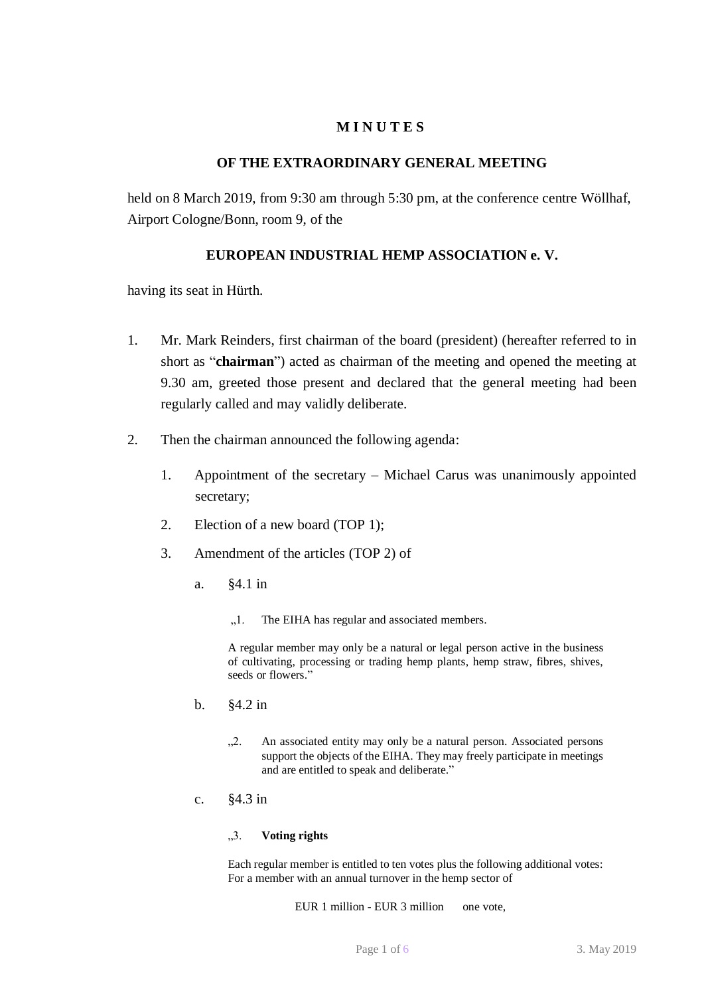# **M I N U T E S**

## **OF THE EXTRAORDINARY GENERAL MEETING**

held on 8 March 2019, from 9:30 am through 5:30 pm, at the conference centre Wöllhaf, Airport Cologne/Bonn, room 9, of the

# **EUROPEAN INDUSTRIAL HEMP ASSOCIATION e. V.**

having its seat in Hürth.

- 1. Mr. Mark Reinders, first chairman of the board (president) (hereafter referred to in short as "**chairman**") acted as chairman of the meeting and opened the meeting at 9.30 am, greeted those present and declared that the general meeting had been regularly called and may validly deliberate.
- 2. Then the chairman announced the following agenda:
	- 1. Appointment of the secretary Michael Carus was unanimously appointed secretary;
	- 2. Election of a new board (TOP 1);
	- 3. Amendment of the articles (TOP 2) of
		- a. §4.1 in
			- "1. The EIHA has regular and associated members.

A regular member may only be a natural or legal person active in the business of cultivating, processing or trading hemp plants, hemp straw, fibres, shives, seeds or flowers."

- b. §4.2 in
	- "2. An associated entity may only be a natural person. Associated persons support the objects of the EIHA. They may freely participate in meetings and are entitled to speak and deliberate."
- c. §4.3 in

### "3. **Voting rights**

Each regular member is entitled to ten votes plus the following additional votes: For a member with an annual turnover in the hemp sector of

EUR 1 million - EUR 3 million one vote,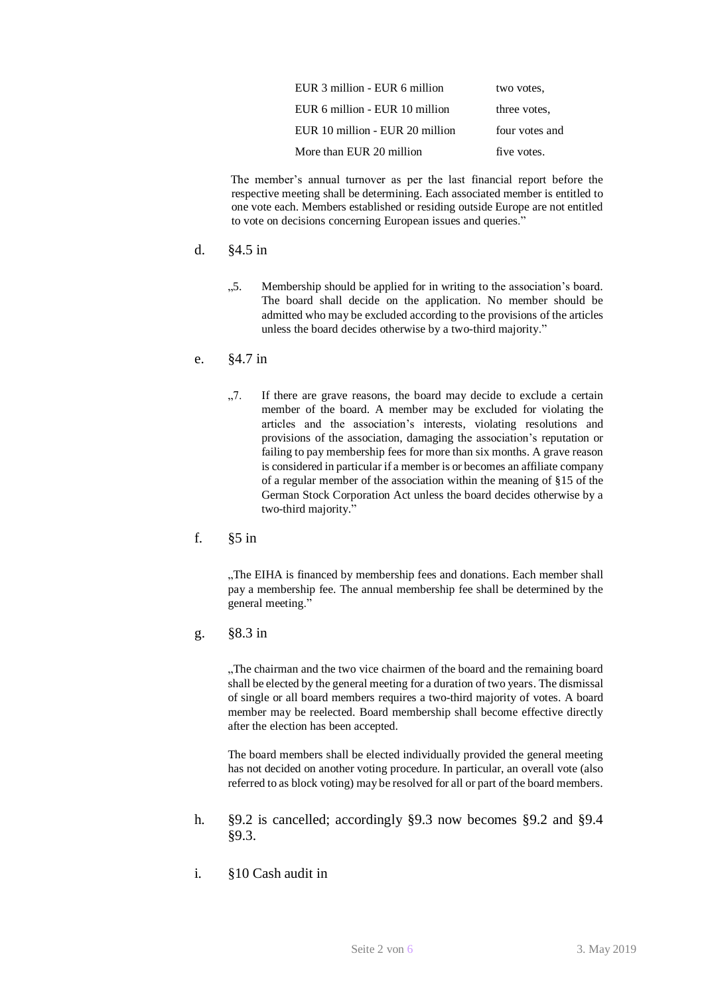| EUR 3 million - EUR 6 million   | two votes.     |
|---------------------------------|----------------|
| EUR 6 million - EUR 10 million  | three votes.   |
| EUR 10 million - EUR 20 million | four votes and |
| More than EUR 20 million        | five votes.    |

The member's annual turnover as per the last financial report before the respective meeting shall be determining. Each associated member is entitled to one vote each. Members established or residing outside Europe are not entitled to vote on decisions concerning European issues and queries."

- d. §4.5 in
	- ".5. Membership should be applied for in writing to the association's board. The board shall decide on the application. No member should be admitted who may be excluded according to the provisions of the articles unless the board decides otherwise by a two-third majority."
- e. §4.7 in
	- "7. If there are grave reasons, the board may decide to exclude a certain member of the board. A member may be excluded for violating the articles and the association's interests, violating resolutions and provisions of the association, damaging the association's reputation or failing to pay membership fees for more than six months. A grave reason is considered in particular if a member is or becomes an affiliate company of a regular member of the association within the meaning of §15 of the German Stock Corporation Act unless the board decides otherwise by a two-third majority."
- f. §5 in

"The EIHA is financed by membership fees and donations. Each member shall pay a membership fee. The annual membership fee shall be determined by the general meeting."

g. §8.3 in

"The chairman and the two vice chairmen of the board and the remaining board shall be elected by the general meeting for a duration of two years. The dismissal of single or all board members requires a two-third majority of votes. A board member may be reelected. Board membership shall become effective directly after the election has been accepted.

The board members shall be elected individually provided the general meeting has not decided on another voting procedure. In particular, an overall vote (also referred to as block voting) may be resolved for all or part of the board members.

- h. §9.2 is cancelled; accordingly §9.3 now becomes §9.2 and §9.4 §9.3.
- i. §10 Cash audit in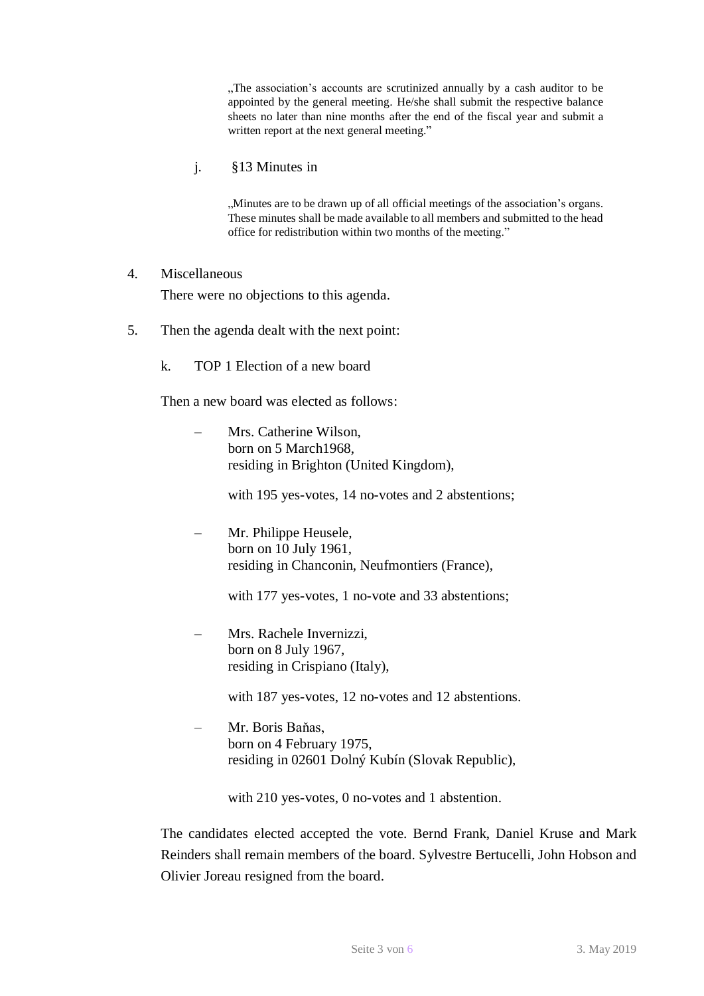"The association's accounts are scrutinized annually by a cash auditor to be appointed by the general meeting. He/she shall submit the respective balance sheets no later than nine months after the end of the fiscal year and submit a written report at the next general meeting."

j. §13 Minutes in

"Minutes are to be drawn up of all official meetings of the association's organs. These minutes shall be made available to all members and submitted to the head office for redistribution within two months of the meeting."

### 4. Miscellaneous

There were no objections to this agenda.

- 5. Then the agenda dealt with the next point:
	- k. TOP 1 Election of a new board

Then a new board was elected as follows:

– Mrs. Catherine Wilson, born on 5 March1968, residing in Brighton (United Kingdom),

with 195 yes-votes, 14 no-votes and 2 abstentions;

– Mr. Philippe Heusele, born on 10 July 1961, residing in Chanconin, Neufmontiers (France),

with 177 yes-votes, 1 no-vote and 33 abstentions;

– Mrs. Rachele Invernizzi, born on 8 July 1967, residing in Crispiano (Italy),

with 187 yes-votes, 12 no-votes and 12 abstentions.

– Mr. Boris Baňas, born on 4 February 1975, residing in 02601 Dolný Kubín (Slovak Republic),

with 210 yes-votes, 0 no-votes and 1 abstention.

The candidates elected accepted the vote. Bernd Frank, Daniel Kruse and Mark Reinders shall remain members of the board. Sylvestre Bertucelli, John Hobson and Olivier Joreau resigned from the board.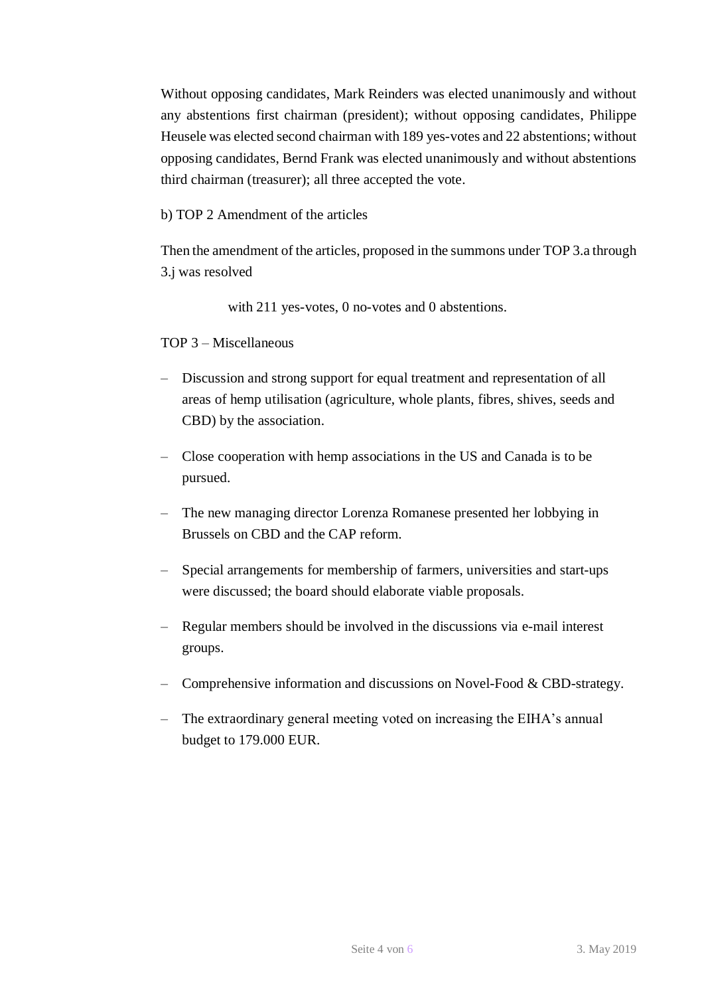Without opposing candidates, Mark Reinders was elected unanimously and without any abstentions first chairman (president); without opposing candidates, Philippe Heusele was elected second chairman with 189 yes-votes and 22 abstentions; without opposing candidates, Bernd Frank was elected unanimously and without abstentions third chairman (treasurer); all three accepted the vote.

b) TOP 2 Amendment of the articles

Then the amendment of the articles, proposed in the summons under TOP 3.a through 3.j was resolved

with 211 yes-votes, 0 no-votes and 0 abstentions.

TOP 3 – Miscellaneous

- Discussion and strong support for equal treatment and representation of all areas of hemp utilisation (agriculture, whole plants, fibres, shives, seeds and CBD) by the association.
- Close cooperation with hemp associations in the US and Canada is to be pursued.
- The new managing director Lorenza Romanese presented her lobbying in Brussels on CBD and the CAP reform.
- Special arrangements for membership of farmers, universities and start-ups were discussed; the board should elaborate viable proposals.
- Regular members should be involved in the discussions via e-mail interest groups.
- Comprehensive information and discussions on Novel-Food & CBD-strategy.
- The extraordinary general meeting voted on increasing the EIHA's annual budget to 179.000 EUR.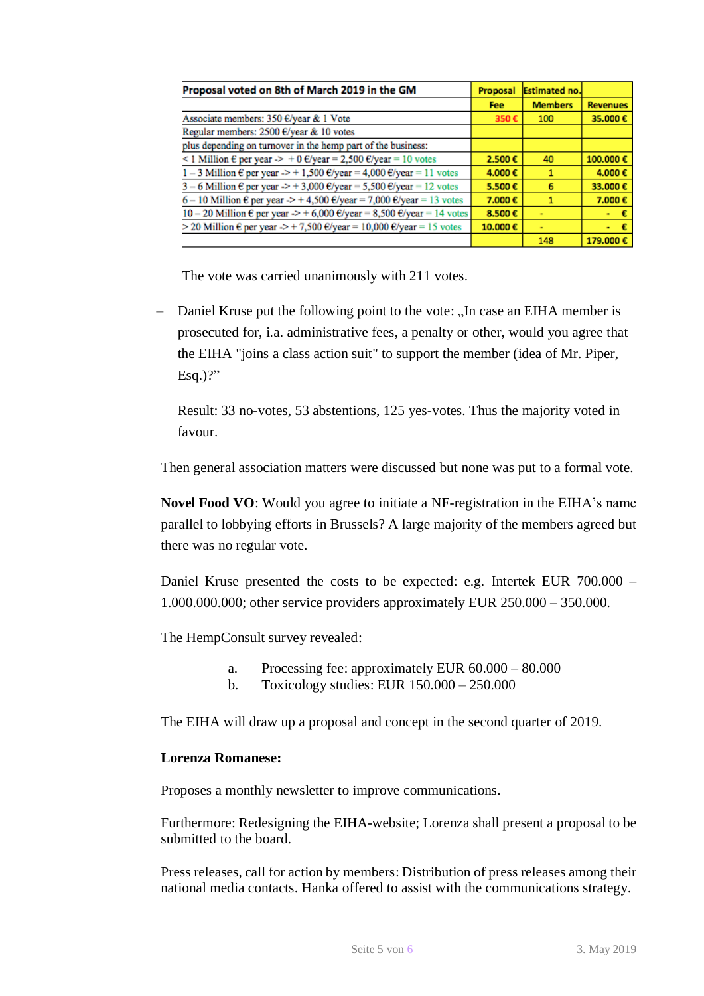| Proposal voted on 8th of March 2019 in the GM                                                          | Proposal   | <b>Estimated no.</b> |                 |
|--------------------------------------------------------------------------------------------------------|------------|----------------------|-----------------|
|                                                                                                        | <b>Fee</b> | <b>Members</b>       | <b>Revenues</b> |
| Associate members: 350 €/year & 1 Vote                                                                 | 350€       | 100                  | 35.000€         |
| Regular members: 2500 €/year & 10 votes                                                                |            |                      |                 |
| plus depending on turnover in the hemp part of the business:                                           |            |                      |                 |
| <1 Million $\epsilon$ per year $\geq$ + 0 $\epsilon$ /year = 2,500 $\epsilon$ /year = 10 votes         | 2.500€     | 40                   | 100.000€        |
| $1-3$ Million $\epsilon$ per year $\geq$ + 1,500 $\epsilon$ /year = 4,000 $\epsilon$ /year = 11 votes  | 4.000€     |                      | 4.000€          |
| $3-6$ Million $\epsilon$ per year $\geq$ + 3,000 $\epsilon$ /year = 5,500 $\epsilon$ /year = 12 votes  | 5.500€     | 6                    | 33.000€         |
| 6 – 10 Million € per year $\ge$ + 4,500 €/year = 7,000 €/year = 13 votes                               | 7.000€     |                      | 7.000€          |
| 10 - 20 Million $\epsilon$ per year $\ge$ + 6,000 $\epsilon$ /year = 8,500 $\epsilon$ /year = 14 votes | 8.500€     | $\sim$               | $\sim 10$       |
| > 20 Million $\epsilon$ per year $\ge$ + 7,500 $\epsilon$ /year = 10,000 $\epsilon$ /year = 15 votes   | 10.000€    | $\sim$               | - 6             |
|                                                                                                        |            | 148                  | 179.000€        |

The vote was carried unanimously with 211 votes.

Daniel Kruse put the following point to the vote: "In case an EIHA member is prosecuted for, i.a. administrative fees, a penalty or other, would you agree that the EIHA "joins a class action suit" to support the member (idea of Mr. Piper, Esq.)?"

Result: 33 no-votes, 53 abstentions, 125 yes-votes. Thus the majority voted in favour.

Then general association matters were discussed but none was put to a formal vote.

**Novel Food VO**: Would you agree to initiate a NF-registration in the EIHA's name parallel to lobbying efforts in Brussels? A large majority of the members agreed but there was no regular vote.

Daniel Kruse presented the costs to be expected: e.g. Intertek EUR 700.000 – 1.000.000.000; other service providers approximately EUR 250.000 – 350.000.

The HempConsult survey revealed:

- a. Processing fee: approximately EUR 60.000 80.000
- b. Toxicology studies: EUR 150.000 250.000

The EIHA will draw up a proposal and concept in the second quarter of 2019.

## **Lorenza Romanese:**

Proposes a monthly newsletter to improve communications.

Furthermore: Redesigning the EIHA-website; Lorenza shall present a proposal to be submitted to the board.

Press releases, call for action by members: Distribution of press releases among their national media contacts. Hanka offered to assist with the communications strategy.